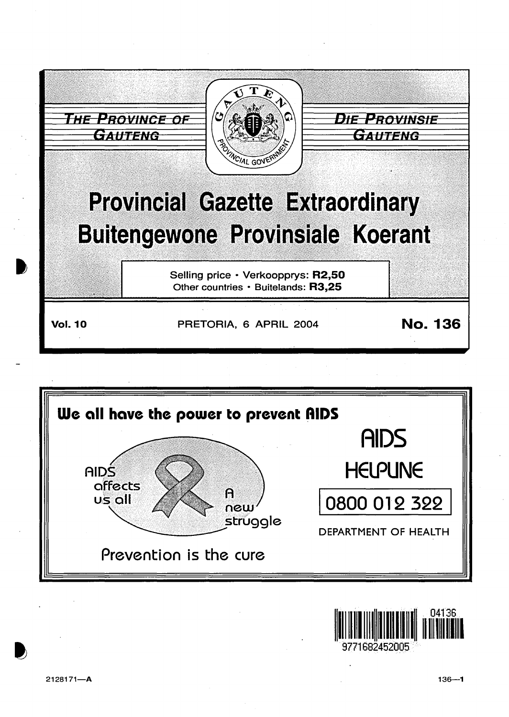

Prevention is the cure

**DEPARTMENT OF HEALTH** 

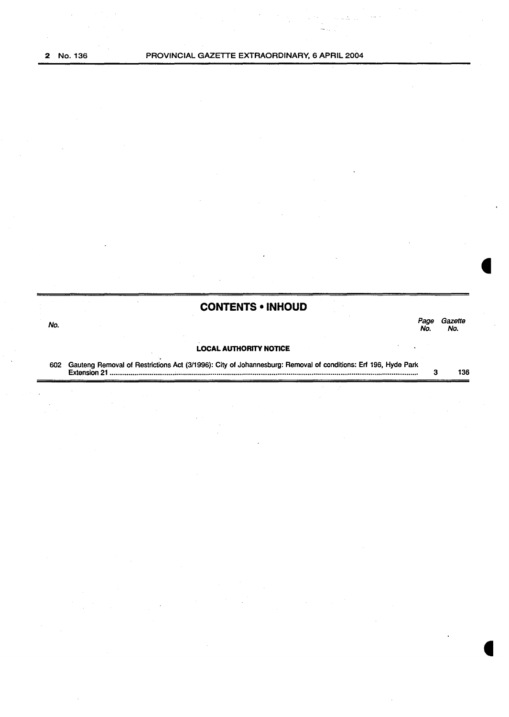# **CONTENTS • INHOUD**  No. Page Gazette No. No. **LOCAL AUTHORITY NOTICE** 602 Gauteng Removal of Restrictions Act (3/1996): City of Johannesburg: Removal of conditions: Erf 196, Hyde Park Extension 21 .........••...•.•......•.••.........•.•..•....•.••.......•...••..•......•....••......•..•...........•.•................••.•......•......••........................ 3 136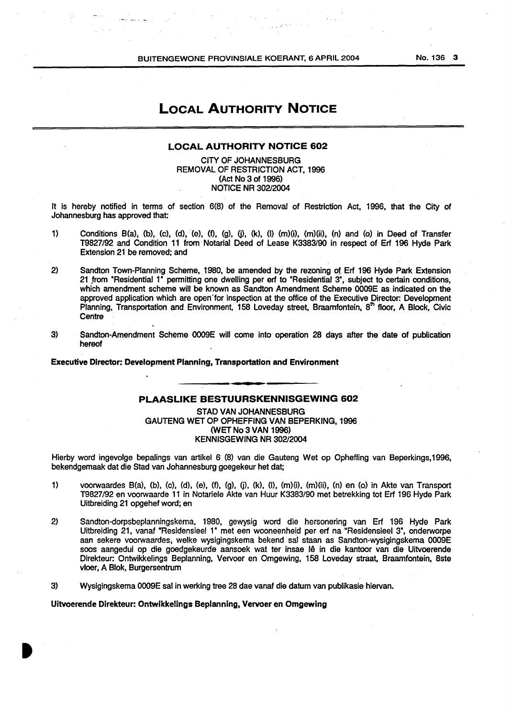BUITENGEWONE PROVINSIALE KOERANT, 6 APRIL 2004

No. 136 3

### LOCAL AUTHORITY NOTICE

#### LOCAL AUTHORITY NOTICE 602

CITY OF JOHANNESBURG REMOVAL OF RESTRICTION ACT, 1996 (Act No 3 of 1996) NOTICE NR 302/2004

It is hereby notified in terms of section 6(8) of the Removal of Restriction Act, 1996, that the City of Johannesburg has approved that:

- 1) Conditions B(a), (b), (c), (d), (e), (f), (g), (j), (k), (l) (m)(i), (m)(ii), (n) and (o) in Deed of Transfer T9827/92 and Condition 11 from Notarial Deed of Lease K3383/90 in respect of Erf 196 Hyde Park Extension 21 be removed; and
- 2) Sandton Town-Planning Scheme, 1980, be amended by the rezoning of. Erf 196 Hyde Park Extension 21 from "Residential 1" permitting one dwelling per erf to "Residential 3", subject to certain conditions, which amendment scheme will be known as Sandton Amendment Scheme 0009E as indicated on the approved application which are open"for inspection at the office of the Executive Director: Development Planning, Transportation and Environment, 158 Loveday street, Braamfontein,  $8<sup>th</sup>$  floor, A Block, Civic **Centre**
- 3) Sandton-Amendment Scheme 0009E will come into operation 28 days after the date of publication hereof

Executive Director: Development Planning, Transportation and Environment

#### PLAASLIKE BESTUURSKENNISGEWING 602

STAD VAN JOHANNESBURG GAUTENG WET OP OPHEFFING VAN BEPERKING, 1996 (WET No 3 VAN 1996) KENNISGEWING NR 302/2004

Hierby word ingevolge bepalings van artikel 6 (8) van die Gauteng Wet op Opheffing van Beperkings,1996, bekendgemaak dat die Stad van Johannesburg goegekeur het dat;

- 1) voorwaardes B(a}, (b), (c), (d), (e), (f), (g), fj), (k), (1), (m)(i), (m}(ii), (n) en (o) in Akte van Transport T9827/92 en voorwaarde 11 in Notariele Akte van Huur K3383/90 met betrekking tot Erf 196 Hyde Park Uitbreiding 21 opgehef word; en
- 2) Sandton-dorpsbeplanningskema, 1980, gewysig word die hersonering van Erf 196 Hyde Park Uitbreiding 21, vanaf "Residensieel 1" met een wooneenheid per erf na "Residensieel 3", onderworpe aan sekere voorwaardes, welke wysigingskema bekend sal staan as Sandton-wysigingskema 0009E soos aangedui op die goedgekeurde aansoek wat ter insae Iê in die kantoor van die Uitvoerende Direkteur: Ontwikkelings Beplanning, Vervoer en Omgewing, 158 Loveday straat, Braamfontein, Bste vloer, A Blok, Burgersentrum
- 3) Wysigingskema 0009E sal in werking tree 28 dae vanaf die datum van publikasie hiervan.

#### Uitvoerende Dlrekteur: Ontwlkkellngs Beplanning, Vervoer en Omgewing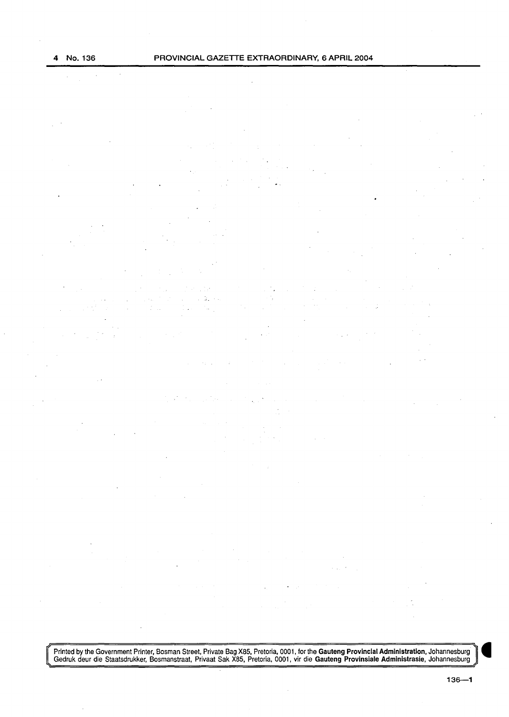Frinted by the Government Printer, Bosman Street, Private Bag X85, Pretoria, 0001, for the Gauteng Provincial Administration, Johannesburg<br>Gedruk deur die Staatsdrukker, Bosmanstraat, Privaat Sak X85, Pretoria, 0001, vir d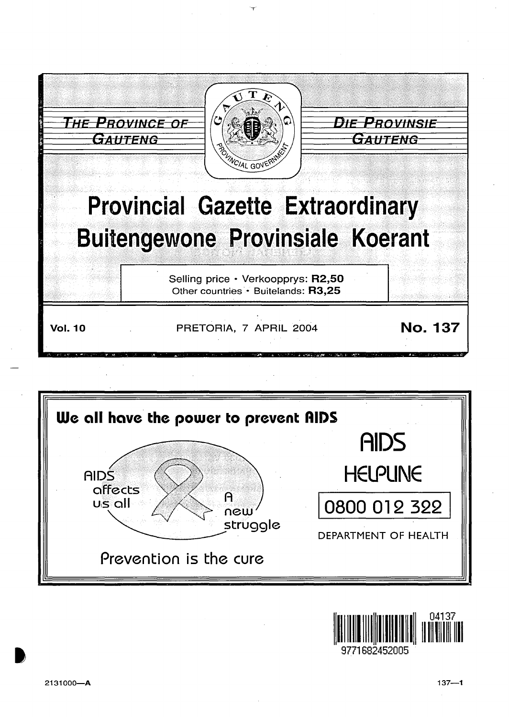





9771682452005